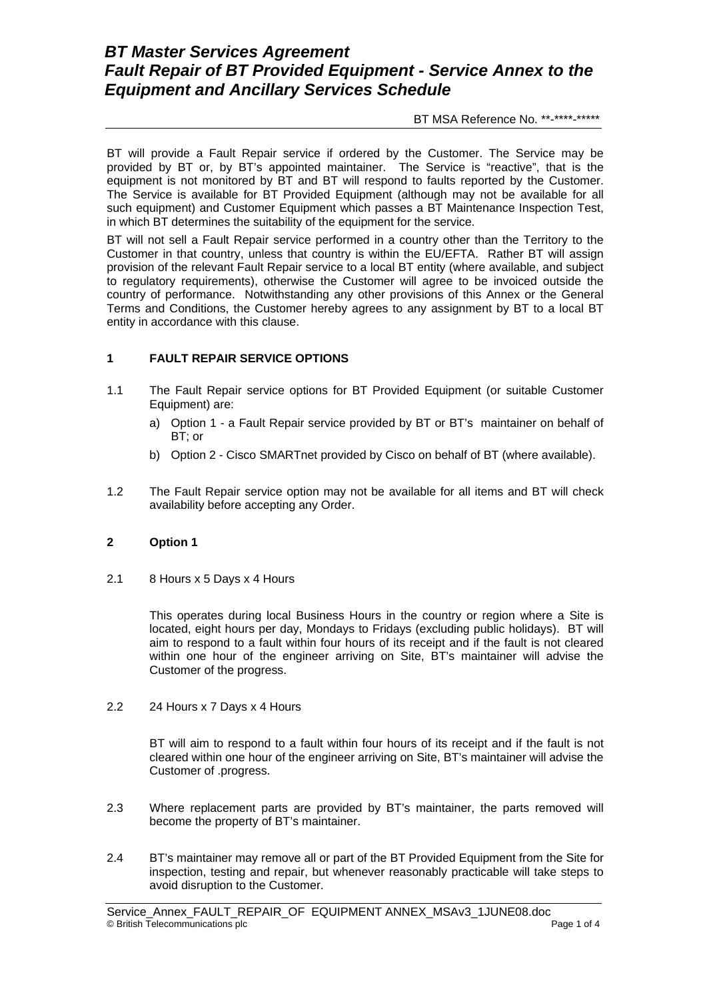# *BT Master Services Agreement Fault Repair of BT Provided Equipment - Service Annex to the Equipment and Ancillary Services Schedule*

BT MSA Reference No. \*\*-\*\*\*\*-\*\*\*\*\*\*

BT will provide a Fault Repair service if ordered by the Customer. The Service may be provided by BT or, by BT's appointed maintainer. The Service is "reactive", that is the equipment is not monitored by BT and BT will respond to faults reported by the Customer. The Service is available for BT Provided Equipment (although may not be available for all such equipment) and Customer Equipment which passes a BT Maintenance Inspection Test, in which BT determines the suitability of the equipment for the service.

BT will not sell a Fault Repair service performed in a country other than the Territory to the Customer in that country, unless that country is within the EU/EFTA. Rather BT will assign provision of the relevant Fault Repair service to a local BT entity (where available, and subject to regulatory requirements), otherwise the Customer will agree to be invoiced outside the country of performance. Notwithstanding any other provisions of this Annex or the General Terms and Conditions, the Customer hereby agrees to any assignment by BT to a local BT entity in accordance with this clause.

### **1 FAULT REPAIR SERVICE OPTIONS**

- 1.1 The Fault Repair service options for BT Provided Equipment (or suitable Customer Equipment) are:
	- a) Option 1 a Fault Repair service provided by BT or BT's maintainer on behalf of BT; or
	- b) Option 2 Cisco SMARTnet provided by Cisco on behalf of BT (where available).
- 1.2 The Fault Repair service option may not be available for all items and BT will check availability before accepting any Order.

#### **2 Option 1**

2.1 8 Hours x 5 Days x 4 Hours

This operates during local Business Hours in the country or region where a Site is located, eight hours per day, Mondays to Fridays (excluding public holidays). BT will aim to respond to a fault within four hours of its receipt and if the fault is not cleared within one hour of the engineer arriving on Site, BT's maintainer will advise the Customer of the progress.

2.2 24 Hours x 7 Days x 4 Hours

BT will aim to respond to a fault within four hours of its receipt and if the fault is not cleared within one hour of the engineer arriving on Site, BT's maintainer will advise the Customer of .progress.

- 2.3 Where replacement parts are provided by BT's maintainer, the parts removed will become the property of BT's maintainer.
- 2.4 BT's maintainer may remove all or part of the BT Provided Equipment from the Site for inspection, testing and repair, but whenever reasonably practicable will take steps to avoid disruption to the Customer.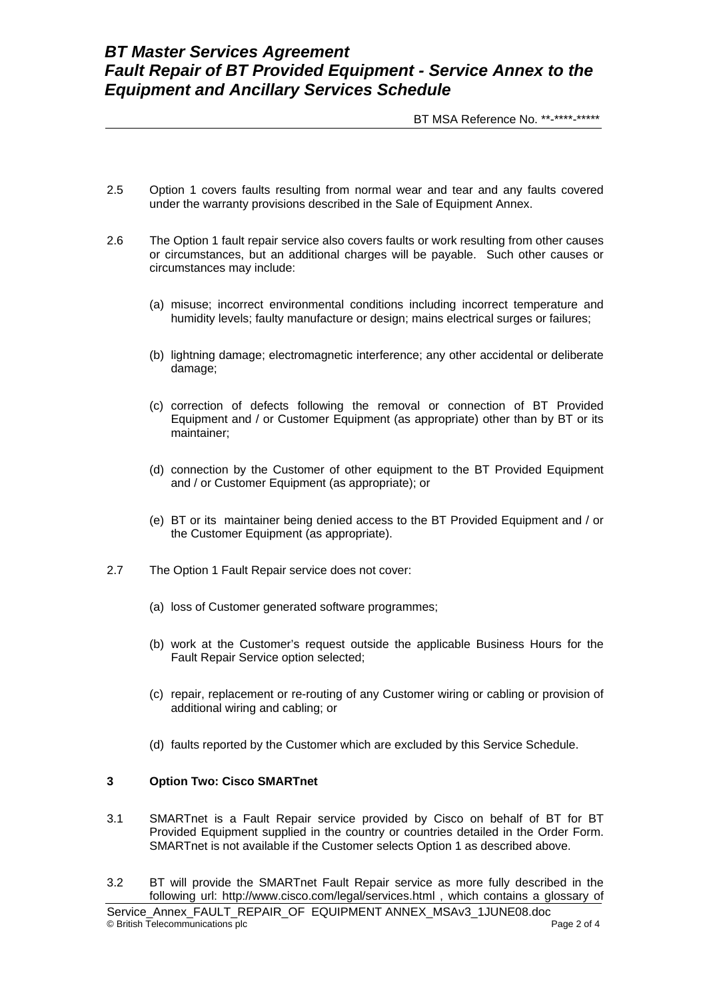# *BT Master Services Agreement Fault Repair of BT Provided Equipment - Service Annex to the Equipment and Ancillary Services Schedule*

BT MSA Reference No. \*\*-\*\*\*\*-\*\*\*\*\*\*

- 2.5 Option 1 covers faults resulting from normal wear and tear and any faults covered under the warranty provisions described in the Sale of Equipment Annex.
- 2.6 The Option 1 fault repair service also covers faults or work resulting from other causes or circumstances, but an additional charges will be payable. Such other causes or circumstances may include:
	- (a) misuse; incorrect environmental conditions including incorrect temperature and humidity levels; faulty manufacture or design; mains electrical surges or failures;
	- (b) lightning damage; electromagnetic interference; any other accidental or deliberate damage;
	- (c) correction of defects following the removal or connection of BT Provided Equipment and / or Customer Equipment (as appropriate) other than by BT or its maintainer;
	- (d) connection by the Customer of other equipment to the BT Provided Equipment and / or Customer Equipment (as appropriate); or
	- (e) BT or its maintainer being denied access to the BT Provided Equipment and / or the Customer Equipment (as appropriate).
- 2.7 The Option 1 Fault Repair service does not cover:
	- (a) loss of Customer generated software programmes;
	- (b) work at the Customer's request outside the applicable Business Hours for the Fault Repair Service option selected;
	- (c) repair, replacement or re-routing of any Customer wiring or cabling or provision of additional wiring and cabling; or
	- (d) faults reported by the Customer which are excluded by this Service Schedule.

#### **3 Option Two: Cisco SMARTnet**

- 3.1 SMARTnet is a Fault Repair service provided by Cisco on behalf of BT for BT Provided Equipment supplied in the country or countries detailed in the Order Form. SMARTnet is not available if the Customer selects Option 1 as described above.
- 3.2 BT will provide the SMARTnet Fault Repair service as more fully described in the following url: <http://www.cisco.com/legal/services.html> , which contains a glossary of

Service Annex FAULT\_REPAIR\_OF EQUIPMENT ANNEX\_MSAv3\_1JUNE08.doc © British Telecommunications plc **Page 2 of 4** and Page 2 of 4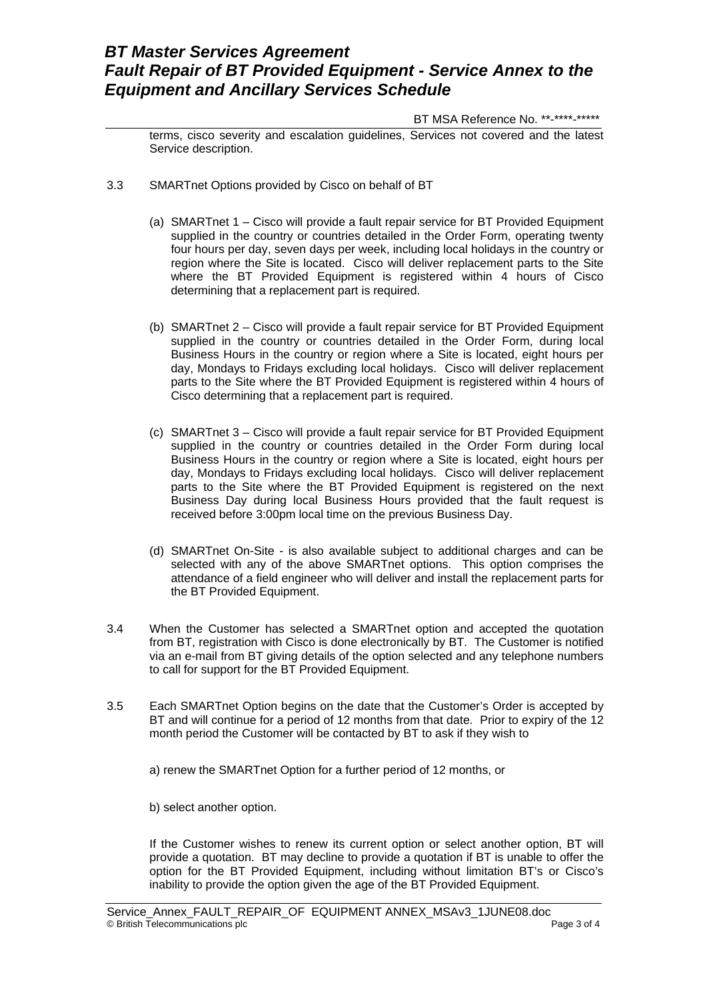# *BT Master Services Agreement Fault Repair of BT Provided Equipment - Service Annex to the Equipment and Ancillary Services Schedule*

BT MSA Reference No. \*\*-\*\*\*\*-\*\*\*\*\*

terms, cisco severity and escalation guidelines, Services not covered and the latest Service description.

- 3.3 SMARTnet Options provided by Cisco on behalf of BT
	- (a) SMARTnet 1 Cisco will provide a fault repair service for BT Provided Equipment supplied in the country or countries detailed in the Order Form, operating twenty four hours per day, seven days per week, including local holidays in the country or region where the Site is located. Cisco will deliver replacement parts to the Site where the BT Provided Equipment is registered within 4 hours of Cisco determining that a replacement part is required.
	- (b) SMARTnet 2 Cisco will provide a fault repair service for BT Provided Equipment supplied in the country or countries detailed in the Order Form, during local Business Hours in the country or region where a Site is located, eight hours per day, Mondays to Fridays excluding local holidays. Cisco will deliver replacement parts to the Site where the BT Provided Equipment is registered within 4 hours of Cisco determining that a replacement part is required.
	- (c) SMARTnet 3 Cisco will provide a fault repair service for BT Provided Equipment supplied in the country or countries detailed in the Order Form during local Business Hours in the country or region where a Site is located, eight hours per day, Mondays to Fridays excluding local holidays. Cisco will deliver replacement parts to the Site where the BT Provided Equipment is registered on the next Business Day during local Business Hours provided that the fault request is received before 3:00pm local time on the previous Business Day.
	- (d) SMARTnet On-Site is also available subject to additional charges and can be selected with any of the above SMARTnet options. This option comprises the attendance of a field engineer who will deliver and install the replacement parts for the BT Provided Equipment.
- 3.4 When the Customer has selected a SMARTnet option and accepted the quotation from BT, registration with Cisco is done electronically by BT. The Customer is notified via an e-mail from BT giving details of the option selected and any telephone numbers to call for support for the BT Provided Equipment.
- 3.5 Each SMARTnet Option begins on the date that the Customer's Order is accepted by BT and will continue for a period of 12 months from that date. Prior to expiry of the 12 month period the Customer will be contacted by BT to ask if they wish to

a) renew the SMARTnet Option for a further period of 12 months, or

b) select another option.

If the Customer wishes to renew its current option or select another option, BT will provide a quotation. BT may decline to provide a quotation if BT is unable to offer the option for the BT Provided Equipment, including without limitation BT's or Cisco's inability to provide the option given the age of the BT Provided Equipment.